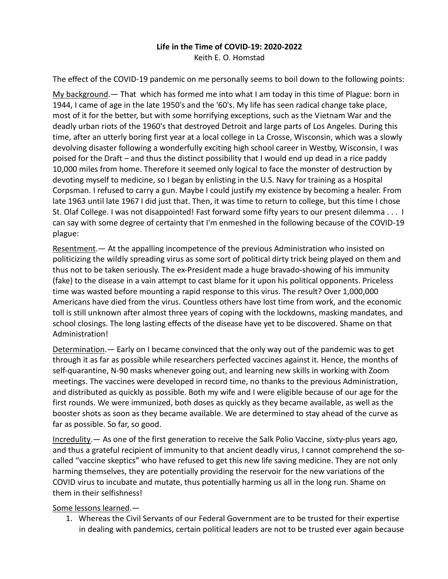## **Life in the Time of COVID-19: 2020-2022**

Keith E. O. Homstad

The effect of the COVID-19 pandemic on me personally seems to boil down to the following points:

My background.— That which has formed me into what I am today in this time of Plague: born in 1944, I came of age in the late 1950's and the '60's. My life has seen radical change take place, most of it for the better, but with some horrifying exceptions, such as the Vietnam War and the deadly urban riots of the 1960's that destroyed Detroit and large parts of Los Angeles. During this time, after an utterly boring first year at a local college in La Crosse, Wisconsin, which was a slowly devolving disaster following a wonderfully exciting high school career in Westby, Wisconsin, I was poised for the Draft – and thus the distinct possibility that I would end up dead in a rice paddy 10,000 miles from home. Therefore it seemed only logical to face the monster of destruction by devoting myself to medicine, so I began by enlisting in the U.S. Navy for training as a Hospital Corpsman. I refused to carry a gun. Maybe I could justify my existence by becoming a healer. From late 1963 until late 1967 I did just that. Then, it was time to return to college, but this time I chose St. Olaf College. I was not disappointed! Fast forward some fifty years to our present dilemma . . . I can say with some degree of certainty that I'm enmeshed in the following because of the COVID-19 plague:

Resentment.— At the appalling incompetence of the previous Administration who insisted on politicizing the wildly spreading virus as some sort of political dirty trick being played on them and thus not to be taken seriously. The ex-President made a huge bravado-showing of his immunity (fake) to the disease in a vain attempt to cast blame for it upon his political opponents. Priceless time was wasted before mounting a rapid response to this virus. The result? Over 1,000,000 Americans have died from the virus. Countless others have lost time from work, and the economic toll is still unknown after almost three years of coping with the lockdowns, masking mandates, and school closings. The long lasting effects of the disease have yet to be discovered. Shame on that Administration!

Determination.— Early on I became convinced that the only way out of the pandemic was to get through it as far as possible while researchers perfected vaccines against it. Hence, the months of self-quarantine, N-90 masks whenever going out, and learning new skills in working with Zoom meetings. The vaccines were developed in record time, no thanks to the previous Administration, and distributed as quickly as possible. Both my wife and I were eligible because of our age for the first rounds. We were immunized, both doses as quickly as they became available, as well as the booster shots as soon as they became available. We are determined to stay ahead of the curve as far as possible. So far, so good.

Incredulity.— As one of the first generation to receive the Salk Polio Vaccine, sixty-plus years ago, and thus a grateful recipient of immunity to that ancient deadly virus, I cannot comprehend the socalled "vaccine skeptics" who have refused to get this new life saving medicine. They are not only harming themselves, they are potentially providing the reservoir for the new variations of the COVID virus to incubate and mutate, thus potentially harming us all in the long run. Shame on them in their selfishness!

## Some lessons learned.—

1. Whereas the Civil Servants of our Federal Government are to be trusted for their expertise in dealing with pandemics, certain political leaders are not to be trusted ever again because